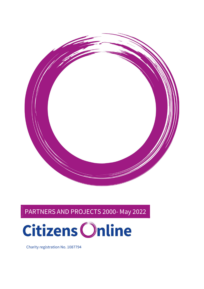

# PARTNERS AND PROJECTS 2000- May 2022



Charity registration No. 1087794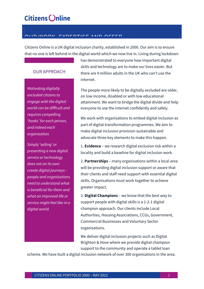#### OUR WORK, EVERETISE AND OFFER

Citizens Online is a UK digital inclusion charity, established in 2000. Our aim is to ensure that no one is left behind in the digital world which we now live in. Living during lockdown

#### OUR APPROACH

Motivating digitally excluded citizens to engage with the digital world can be difficult and requires compelling 'hooks' for each person, and indeed each organisation.

Simply 'selling' or presenting a new digital service or technology does not on its own create digital journeys – people and organisations need to understand what is beneficial for them and what an improved life or service might feel like in a digital world.

has demonstrated to everyone how important digital skills and technology are to make our lives easier. But there are 9 million adults in the UK who can't use the internet.

The people more likely to be digitally excluded are older, on low income, disabled or with low educational attainment. We want to bridge the digital divide and help everyone to use the internet confidently and safely.

We work with organisations to embed digital inclusion as part of digital transformation programmes. We aim to make digital inclusion provision sustainable and advocate three key elements to make this happen.

1. **Evidence** – we research digital exclusion risk within a locality and build a baseline for digital inclusion work.

2. Partnerships – many organisations within a local area will be providing digital inclusion support or aware that their clients and staff need support with essential digital skills. Organisations must work together to achieve greater impact.

3. Digital Champions - we know that the best way to support people with digital skills is a 1-2-1 digital champion approach. Our clients include Local Authorities, Housing Associations, CCGs, Government, Commercial Businesses and Voluntary Sector organisations.

We deliver digital inclusion projects such as Digital Brighton & Hove where we provide digital champion support to the community and operate a tablet loan

scheme. We have built a digital inclusion network of over 300 organisations in the area.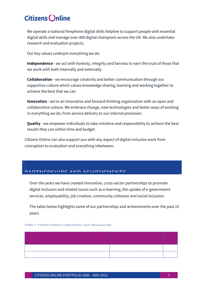We operate a national freephone digital skills helpline to support people with essential digital skills and manage over 400 digital champions across the UK. We also undertake research and evaluation projects.

Our key values underpin everything we do:

Independence - we act with honesty, integrity and fairness to earn the trust of those that we work with both internally and externally

**Collaboration** - we encourage creativity and better communication through our supportive culture which values knowledge sharing, learning and working together to achieve the best that we can

Innovation - we're an innovative and forward thinking organisation with an open and collaborative culture. We embrace change, new technologies and better ways of working in everything we do, from service delivery to our internal processes

Quality - we empower individuals to take initiative and responsibility to achieve the best results they can within time and budget

Citizens Online can also support you with any aspect of digital inclusion work from conception to evaluation and everything inbetween.

#### DANTNERSHIIDS AND ACHIEVEMENTS

Over the years we have created innovative, cross-sector partnerships to promote digital inclusion and related issues such as e-learning, the uptake of e-government services, employability, job creation, community cohesion and social inclusion.

The table below highlights some of our partnerships and achievements over the past 22 years.

Table 1: Citizens Online partnerships and achievements.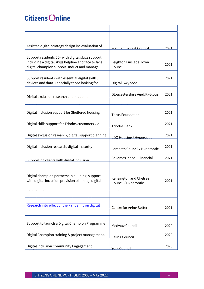| Assisted digital strategy design inc evaluation of                                                                                                       | <b>Waltham Forest Council</b>                  | 2021 |
|----------------------------------------------------------------------------------------------------------------------------------------------------------|------------------------------------------------|------|
| Support residents 55+ with digital skills support<br>including a digital skills helpline and face to face<br>digital champion support. Induct and manage | Leighton Linslade Town<br>Council              | 2021 |
| Support residents with essential digital skills,<br>devices and data. Especially those looking for                                                       | Digital Gwynedd                                | 2021 |
| Digital exclusion research and manning                                                                                                                   | Gloucestershire AgeUK (Glous                   | 2021 |
| Digital inclusion support for Sheltered housing                                                                                                          | <b>Torus Foundation</b>                        | 2021 |
| Digital skills support for Triodos customers via                                                                                                         | <b>Triodos Bank</b>                            | 2021 |
| Digital exclusion research, digital support planning                                                                                                     | <b>L&amp;O Housing / Hyperoptic</b>            | 2021 |
| Digital inclusion research, digital maturity                                                                                                             | Lambeth Council / Hyperoptic                   | 2021 |
| Supporting clients with digital inclusion                                                                                                                | St James Place - Financial                     | 2021 |
| Digital champion partnership building, support<br>with digital inclusion provision planning, digital                                                     | Kensington and Chelsea<br>Council / Hynerontic | 2021 |
|                                                                                                                                                          |                                                |      |
| Research into effect of the Pandemic on digital                                                                                                          | Centre for Aging Better                        | 2021 |
| Support to launch a Digital Champion Programme                                                                                                           | Medway Council                                 | 2020 |
| Digital Champion training & project management.                                                                                                          | Faling Council                                 | 2020 |
| Digital Inclusion Community Engagement                                                                                                                   | York Council                                   | 2020 |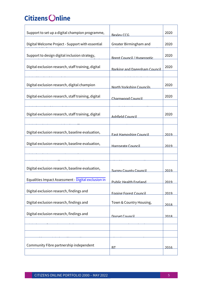| Support to set up a digital champion programme,     | <b>Bexley CCG</b>                   | 2020 |
|-----------------------------------------------------|-------------------------------------|------|
| Digital Welcome Project - Support with essential    | Greater Birmingham and              | 2020 |
| Support to design digital inclusion strategy,       | <b>Brent Council / Hyperontic</b>   | 2020 |
| Digital exclusion research, staff training, digital | <b>Barking and Dagenham Council</b> | 2020 |
| Digital exclusion research, digital champion        | North Yorkshire Councils            | 2020 |
| Digital exclusion research, staff training, digital | Charnwood Council                   | 2020 |
| Digital exclusion research, staff training, digital | Ashfield Council                    | 2020 |
| Digital exclusion research, baseline evaluation,    | <b>Fast Hampshire Council</b>       | 2019 |
| Digital exclusion research, baseline evaluation,    | Harrogate Council                   | 2019 |
|                                                     |                                     |      |
| Digital exclusion research, baseline evaluation,    | <b>Surrey County Council</b>        | 2019 |
| Equalities Impact Assessment - Digital exclusion in | <b>Public Health England</b>        | 2019 |
| Digital exclusion research, findings and            | <b>Enning Forest Council</b>        | 2019 |
| Digital exclusion research, findings and            | Town & Country Housing,             | 2018 |
| Digital exclusion research, findings and            | Dorset Council                      | 2018 |
|                                                     |                                     |      |
|                                                     |                                     |      |
| Community Fibre partnership independent             | <u>RT</u>                           | 2016 |

digital Skills strategy development BT 2016 in the strategy development BT 2016 in the strategy development BT 2016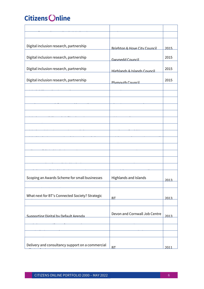| Digital inclusion research, partnership          | <b>Brighton &amp; Hove City Council</b> | 2015 |
|--------------------------------------------------|-----------------------------------------|------|
| Digital inclusion research, partnership          | <b>Gwynedd Council</b>                  | 2015 |
| Digital inclusion research, partnership          | Highlands & Islands Council             | 2015 |
| Digital inclusion research, partnership          | <b>Plymouth Council</b>                 | 2015 |
|                                                  |                                         |      |
|                                                  |                                         |      |
|                                                  |                                         |      |
|                                                  |                                         |      |
|                                                  |                                         |      |
|                                                  |                                         |      |
|                                                  |                                         |      |
|                                                  |                                         |      |
|                                                  |                                         |      |
|                                                  |                                         |      |
| Scoping an Awards Scheme for small businesses    | Highlands and Islands                   | 2013 |
|                                                  |                                         |      |
| What next for BT's Connected Society? Strategic  | RT                                      | 2013 |
|                                                  |                                         |      |
| Supporting Digital by Default Agenda             | Devon and Cornwall Job Centre           | 2013 |
|                                                  |                                         |      |
|                                                  |                                         |      |
| Delivery and consultancy support on a commercial | <b>BT</b>                               | 2011 |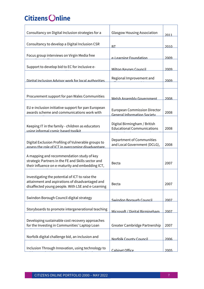| Consultancy on Digital Inclusion strategies for a                                                                                                       | <b>Glasgow Housing Association</b>                                        | 2011 |
|---------------------------------------------------------------------------------------------------------------------------------------------------------|---------------------------------------------------------------------------|------|
| Consultancy to develop a Digital Inclusion CSR                                                                                                          | <b>BT</b>                                                                 | 2010 |
| Focus group interviews on Virgin Media free                                                                                                             | e-Learning Foundation                                                     | 2009 |
| Support to develop bid to EC for inclusive e-                                                                                                           | Milton Keynes Council                                                     | 2009 |
| Digital Inclusion Advisor work for local authorities                                                                                                    | Regional Improvement and                                                  | 2009 |
|                                                                                                                                                         |                                                                           |      |
| Procurement support for pan Wales Communities                                                                                                           | Welsh Assembly Government                                                 | 2008 |
| EU e-inclusion initiative support for pan European<br>awards scheme and communications work with                                                        | <b>European Commission Director</b><br><b>General Information Society</b> | 2008 |
| Keeping IT in the family - children as educators<br>using informal comic based toolkit                                                                  | Digital Birmingham / British<br><b>Educational Communications</b>         | 2008 |
| Digital Exclusion Profiling of Vulnerable groups to<br>assess the role of ICT in overcoming disadvantage                                                | Department of Communities<br>and Local Government (DCLG),                 | 2008 |
| A mapping and recommendation study of key<br>strategic Partners in the FE and Skills sector and<br>their influence on e-maturity and embedding ICT,     | Becta                                                                     | 2007 |
| Investigating the potential of ICT to raise the<br>attainment and aspirations of disadvantaged and<br>disaffected young people. With LSE and e-Learning | <b>Becta</b>                                                              | 2007 |
| Swindon Borough Council digital strategy                                                                                                                | Swindon Borough Council                                                   | 2007 |
| Storyboards to promote intergenerational teaching                                                                                                       | Microsoft / Digital Birmingham                                            | 2007 |
| Developing sustainable cost recovery approaches<br>for the Investing in Communities' Laptop Loan                                                        | Greater Cambridge Partnership                                             | 2007 |
| Norfolk digital challenge bid, an inclusion and                                                                                                         | Norfolk County Council                                                    | 2006 |
| Inclusion Through Innovation, using technology to                                                                                                       | <b>Cabinet Office</b>                                                     | 2005 |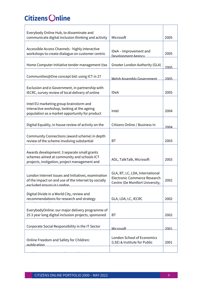| Everybody Online Hub, to disseminate and                                                                 |                                   |      |
|----------------------------------------------------------------------------------------------------------|-----------------------------------|------|
| communicate digital inclusion thinking and activity                                                      | Microsoft                         | 2005 |
|                                                                                                          |                                   |      |
| Accessible Access Channels - highly interactive                                                          |                                   |      |
| workshops to create dialogue on customer centric                                                         | IDeA - Improvement and            | 2005 |
|                                                                                                          | Develonment Agency                |      |
| Home Computer Initiative tender management (tax                                                          | Greater London Authority (GLA)    |      |
|                                                                                                          |                                   | 2005 |
| Communities@One concept bid: using ICT in 27                                                             |                                   |      |
|                                                                                                          | Welsh Assembly Government         | 2005 |
| Exclusion and e-Government, in partnership with                                                          |                                   |      |
| IECRC, survey review of local delivery of online                                                         | <b>IDeA</b>                       | 2005 |
|                                                                                                          |                                   |      |
| Intel EU marketing group brainstorm and                                                                  |                                   |      |
| interactive workshop, looking at the ageing                                                              |                                   |      |
| population as a market opportunity for product                                                           | Intel                             | 2004 |
|                                                                                                          |                                   |      |
| Digital Equality, in house review of activity on the                                                     | Citizens Online / Business In     | 2004 |
|                                                                                                          |                                   |      |
| Community Connections (award scheme) in depth                                                            |                                   |      |
| review of the scheme involving substantial                                                               | <b>BT</b>                         | 2003 |
|                                                                                                          |                                   |      |
| Awards development: 3 separate small grants                                                              |                                   |      |
| schemes aimed at community and schools ICT                                                               | AOL, TalkTalk, Microsoft          | 2003 |
| projects, instigation, project management and                                                            |                                   |      |
|                                                                                                          |                                   |      |
| London Internet Issues and Initiatives, examination                                                      | GLA, BT, LC, LDA, International   |      |
| of the impact on and use of the Internet by socially                                                     | Electronic Commerce Research      | 2002 |
| excluded groups in London                                                                                | Centre (De Montfort University,   |      |
|                                                                                                          |                                   |      |
| Digital Divide in a World City, review and<br>recommendations for research and strategy                  | GLA, LDA, LC, IECRC               | 2002 |
|                                                                                                          |                                   |      |
|                                                                                                          |                                   |      |
| EverybodyOnline: our major delivery programme of<br>25 3 year long digital inclusion projects, sponsored | <b>BT</b>                         | 2002 |
|                                                                                                          |                                   |      |
| Corporate Social Responsibility in the IT Sector                                                         |                                   |      |
|                                                                                                          | Microsoft                         | 2001 |
|                                                                                                          | <b>London School of Economics</b> |      |
| Online Freedom and Safety for Children:                                                                  | (LSE) & Institute for Public      | 2001 |
| nublication                                                                                              |                                   |      |
|                                                                                                          |                                   |      |

Realising Democracy Online: publication IPPR 2001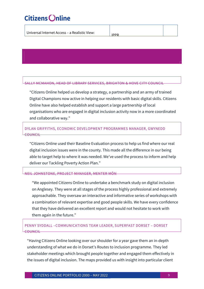Testimonials

| Universal Internet Access - a Realistic View: | IDDD |  |
|-----------------------------------------------|------|--|
|                                               |      |  |

SALLY MCMAHON, HEAD OF LIBRARY SERVICES, BRIGHTON & HOVE CITY COUNCIL

"Citizens Online helped us develop a strategy, a partnership and an army of trained Digital Champions now active in helping our residents with basic digital skills. Citizens Online have also helped establish and support a large partnership of local organisations who are engaged in digital inclusion activity now in a more coordinated and collaborative way."

#### DYLAN GRIFFITHS, ECONOMIC DEVELOPMENT PROGRAMMES MANAGER, GWYNEDD **COUNCIL**

"Citizens Online used their Baseline Evaluation process to help us find where our real digital inclusion issues were in the county. This made all the difference in our being able to target help to where it was needed. We've used the process to inform and help deliver our Tackling Poverty Action Plan."

#### NEIL JOHNSTONE, PROJECT MANAGER, MENTER MÔN

"We appointed Citizens Online to undertake a benchmark study on digital inclusion on Anglesey. They were at all stages of the process highly professional and extremely approachable. They oversaw an interactive and informative series of workshops with a combination of relevant expertise and good people skills. We have every confidence that they have delivered an excellent report and would not hesitate to work with them again in the future."

#### PENNY SYDDALL –COMMUNICATIONS TEAM LEADER, SUPERFAST DORSET – DORSET **COUNCIL**

"Having Citizens Online looking over our shoulder for a year gave them an in-depth understanding of what we do in Dorset's Routes to inclusion programme. They led stakeholder meetings which brought people together and engaged them effectively in the issues of digital inclusion. The maps provided us with insight into particular client